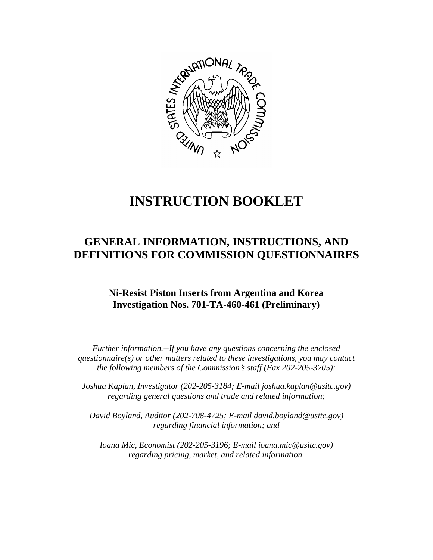

# **INSTRUCTION BOOKLET**

## **GENERAL INFORMATION, INSTRUCTIONS, AND DEFINITIONS FOR COMMISSION QUESTIONNAIRES**

## **Ni-Resist Piston Inserts from Argentina and Korea Investigation Nos. 701-TA-460-461 (Preliminary)**

*Further information.--If you have any questions concerning the enclosed questionnaire(s) or other matters related to these investigations, you may contact the following members of the Commission's staff (Fax 202-205-3205):* 

 *Joshua Kaplan, Investigator (202-205-3184; E-mail joshua.kaplan@usitc.gov) regarding general questions and trade and related information;* 

 *David Boyland, Auditor (202-708-4725; E-mail david.boyland@usitc.gov) regarding financial information; and* 

*Ioana Mic, Economist (202-205-3196; E-mail ioana.mic@usitc.gov) regarding pricing, market, and related information.*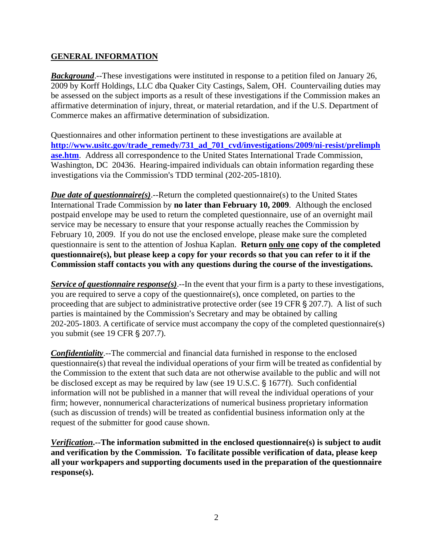## **GENERAL INFORMATION**

*Background*.--These investigations were instituted in response to a petition filed on January 26, 2009 by Korff Holdings, LLC dba Quaker City Castings, Salem, OH. Countervailing duties may be assessed on the subject imports as a result of these investigations if the Commission makes an affirmative determination of injury, threat, or material retardation, and if the U.S. Department of Commerce makes an affirmative determination of subsidization.

Questionnaires and other information pertinent to these investigations are available at **[http://www.usitc.gov/trade\\_remedy/731\\_ad\\_701\\_cvd/investigations/2009/ni-resist/prelimph](http://www.usitc.gov/trade_remedy/731_ad_701_cvd/investigations/2009/ni-resist/prelimphase.htm) [ase.htm](http://www.usitc.gov/trade_remedy/731_ad_701_cvd/investigations/2009/ni-resist/prelimphase.htm)**. Address all correspondence to the United States International Trade Commission, Washington, DC 20436. Hearing-impaired individuals can obtain information regarding these investigations via the Commission's TDD terminal (202-205-1810).

*Due date of questionnaire(s)*.--Return the completed questionnaire(s) to the United States International Trade Commission by **no later than February 10, 2009**. Although the enclosed postpaid envelope may be used to return the completed questionnaire, use of an overnight mail service may be necessary to ensure that your response actually reaches the Commission by February 10, 2009. If you do not use the enclosed envelope, please make sure the completed questionnaire is sent to the attention of Joshua Kaplan. **Return only one copy of the completed questionnaire(s), but please keep a copy for your records so that you can refer to it if the Commission staff contacts you with any questions during the course of the investigations.**

*Service of questionnaire response(s).*--In the event that your firm is a party to these investigations, you are required to serve a copy of the questionnaire(s), once completed, on parties to the proceeding that are subject to administrative protective order (see 19 CFR  $\S 207.7$ ). A list of such parties is maintained by the Commission's Secretary and may be obtained by calling 202-205-1803. A certificate of service must accompany the copy of the completed questionnaire(s) you submit (see 19 CFR § 207.7).

*Confidentiality*.--The commercial and financial data furnished in response to the enclosed questionnaire(s) that reveal the individual operations of your firm will be treated as confidential by the Commission to the extent that such data are not otherwise available to the public and will not be disclosed except as may be required by law (see 19 U.S.C.  $\S$  1677f). Such confidential information will not be published in a manner that will reveal the individual operations of your firm; however, nonnumerical characterizations of numerical business proprietary information (such as discussion of trends) will be treated as confidential business information only at the request of the submitter for good cause shown.

*Verification***.--The information submitted in the enclosed questionnaire(s) is subject to audit and verification by the Commission. To facilitate possible verification of data, please keep all your workpapers and supporting documents used in the preparation of the questionnaire response(s).**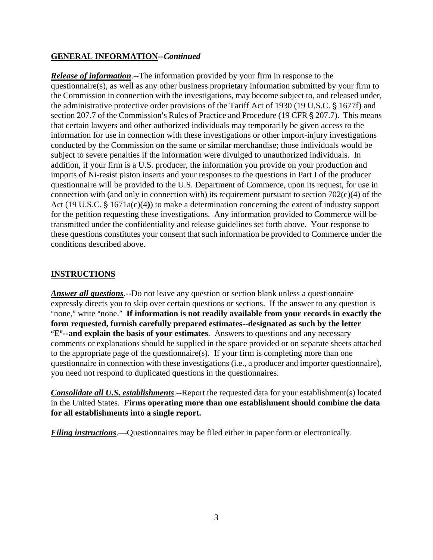## **GENERAL INFORMATION--***Continued*

*Release of information*.--The information provided by your firm in response to the questionnaire(s), as well as any other business proprietary information submitted by your firm to the Commission in connection with the investigations, may become subject to, and released under, the administrative protective order provisions of the Tariff Act of 1930 (19 U.S.C. § 1677f) and section 207.7 of the Commission's Rules of Practice and Procedure (19 CFR  $\S$  207.7). This means that certain lawyers and other authorized individuals may temporarily be given access to the information for use in connection with these investigations or other import-injury investigations conducted by the Commission on the same or similar merchandise; those individuals would be subject to severe penalties if the information were divulged to unauthorized individuals. In addition, if your firm is a U.S. producer, the information you provide on your production and imports of Ni-resist piston inserts and your responses to the questions in Part I of the producer questionnaire will be provided to the U.S. Department of Commerce, upon its request, for use in connection with (and only in connection with) its requirement pursuant to section  $702(c)(4)$  of the Act (19 U.S.C. § 1671a(c)(4)) to make a determination concerning the extent of industry support for the petition requesting these investigations. Any information provided to Commerce will be transmitted under the confidentiality and release guidelines set forth above. Your response to these questions constitutes your consent that such information be provided to Commerce under the conditions described above.

## **INSTRUCTIONS**

*Answer all questions*.--Do not leave any question or section blank unless a questionnaire expressly directs you to skip over certain questions or sections. If the answer to any question is "none," write "none." If information is not readily available from your records in exactly the **form requested, furnish carefully prepared estimates--designated as such by the letter E<sup>"</sup>--and explain the basis of your estimates**. Answers to questions and any necessary comments or explanations should be supplied in the space provided or on separate sheets attached to the appropriate page of the questionnaire(s). If your firm is completing more than one questionnaire in connection with these investigations (i.e., a producer and importer questionnaire), you need not respond to duplicated questions in the questionnaires.

*Consolidate all U.S. establishments*.--Report the requested data for your establishment(s) located in the United States. **Firms operating more than one establishment should combine the data for all establishments into a single report.**

*Filing instructions*.—Questionnaires may be filed either in paper form or electronically.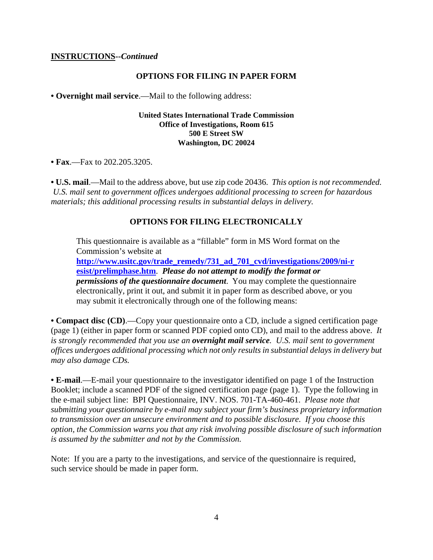#### **INSTRUCTIONS--***Continued*

#### **OPTIONS FOR FILING IN PAPER FORM**

**• Overnight mail service**.—Mail to the following address:

#### **United States International Trade Commission Office of Investigations, Room 615 500 E Street SW Washington, DC 20024**

• **Fax.**—Fax to 202.205.3205.

**• U.S. mail**.—Mail to the address above, but use zip code 20436. *This option is not recommended. U.S. mail sent to government offices undergoes additional processing to screen for hazardous materials; this additional processing results in substantial delays in delivery.* 

#### **OPTIONS FOR FILING ELECTRONICALLY**

This questionnaire is available as a "fillable" form in MS Word format on the Commission's website at

**[http://www.usitc.gov/trade\\_remedy/731\\_ad\\_701\\_cvd/investigations/2009/ni-r](http://www.usitc.gov/trade_remedy/731_ad_701_cvd/investigations/2009/ni-resist/prelimphase.htm) [esist/prelimphase.htm](http://www.usitc.gov/trade_remedy/731_ad_701_cvd/investigations/2009/ni-resist/prelimphase.htm)**. *Please do not attempt to modify the format or permissions of the questionnaire document*. You may complete the questionnaire electronically, print it out, and submit it in paper form as described above, or you may submit it electronically through one of the following means:

• **Compact disc (CD).—Copy your questionnaire onto a CD, include a signed certification page** (page 1) (either in paper form or scanned PDF copied onto CD), and mail to the address above. *It is strongly recommended that you use an overnight mail service. U.S. mail sent to government offices undergoes additional processing which not only results in substantial delays in delivery but may also damage CDs.* 

**• E-mail**.—E-mail your questionnaire to the investigator identified on page 1 of the Instruction Booklet; include a scanned PDF of the signed certification page (page 1). Type the following in the e-mail subject line: BPI Questionnaire, INV. NOS. 701-TA-460-461. *Please note that submitting your questionnaire by e-mail may subject your firm's business proprietary information to transmission over an unsecure environment and to possible disclosure. If you choose this option, the Commission warns you that any risk involving possible disclosure of such information is assumed by the submitter and not by the Commission.* 

Note: If you are a party to the investigations, and service of the questionnaire is required, such service should be made in paper form.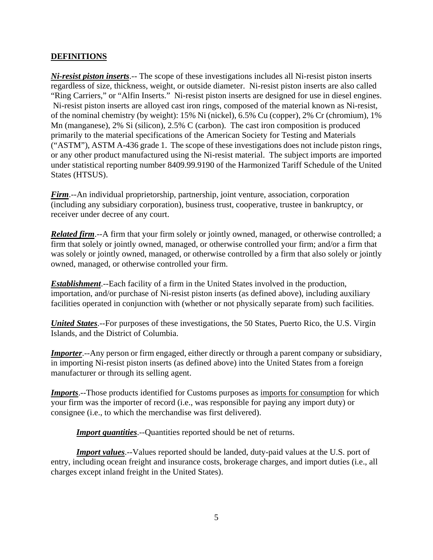## **DEFINITIONS**

*Ni-resist piston inserts*.-- The scope of these investigations includes all Ni-resist piston inserts regardless of size, thickness, weight, or outside diameter. Ni-resist piston inserts are also called "Ring Carriers," or "Alfin Inserts." Ni-resist piston inserts are designed for use in diesel engines. Ni-resist piston inserts are alloyed cast iron rings, composed of the material known as Ni-resist, of the nominal chemistry (by weight): 15% Ni (nickel), 6.5% Cu (copper), 2% Cr (chromium), 1% Mn (manganese), 2% Si (silicon), 2.5% C (carbon). The cast iron composition is produced primarily to the material specifications of the American Society for Testing and Materials ("ASTM"), ASTM A-436 grade 1. The scope of these investigations does not include piston rings, or any other product manufactured using the Ni-resist material. The subject imports are imported under statistical reporting number 8409.99.9190 of the Harmonized Tariff Schedule of the United States (HTSUS).

*Firm*.--An individual proprietorship, partnership, joint venture, association, corporation (including any subsidiary corporation), business trust, cooperative, trustee in bankruptcy, or receiver under decree of any court.

*Related firm.*--A firm that your firm solely or jointly owned, managed, or otherwise controlled; a firm that solely or jointly owned, managed, or otherwise controlled your firm; and/or a firm that was solely or jointly owned, managed, or otherwise controlled by a firm that also solely or jointly owned, managed, or otherwise controlled your firm.

*Establishment*.--Each facility of a firm in the United States involved in the production, importation, and/or purchase of Ni-resist piston inserts (as defined above), including auxiliary facilities operated in conjunction with (whether or not physically separate from) such facilities.

*United States*.--For purposes of these investigations, the 50 States, Puerto Rico, the U.S. Virgin Islands, and the District of Columbia.

*Importer*.--Any person or firm engaged, either directly or through a parent company or subsidiary, in importing Ni-resist piston inserts (as defined above) into the United States from a foreign manufacturer or through its selling agent.

*Imports*.--Those products identified for Customs purposes as imports for consumption for which your firm was the importer of record (i.e., was responsible for paying any import duty) or consignee (i.e., to which the merchandise was first delivered).

*Import quantities*.--Quantities reported should be net of returns.

*Import values*.--Values reported should be landed, duty-paid values at the U.S. port of entry, including ocean freight and insurance costs, brokerage charges, and import duties (i.e., all charges except inland freight in the United States).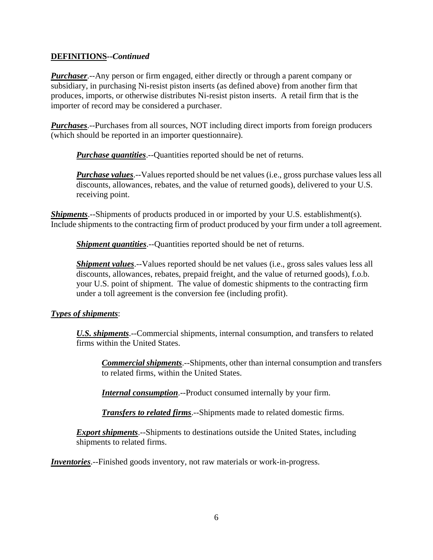### **DEFINITIONS--***Continued*

*Purchaser*.--Any person or firm engaged, either directly or through a parent company or subsidiary, in purchasing Ni-resist piston inserts (as defined above) from another firm that produces, imports, or otherwise distributes Ni-resist piston inserts. A retail firm that is the importer of record may be considered a purchaser.

*Purchases*.--Purchases from all sources, NOT including direct imports from foreign producers (which should be reported in an importer questionnaire).

*Purchase quantities*.--Quantities reported should be net of returns.

*Purchase values*.--Values reported should be net values (i.e., gross purchase values less all discounts, allowances, rebates, and the value of returned goods), delivered to your U.S. receiving point.

*Shipments*.--Shipments of products produced in or imported by your U.S. establishment(s). Include shipments to the contracting firm of product produced by your firm under a toll agreement.

*Shipment quantities*.--Quantities reported should be net of returns.

*Shipment values*.--Values reported should be net values (i.e., gross sales values less all discounts, allowances, rebates, prepaid freight, and the value of returned goods), f.o.b. your U.S. point of shipment. The value of domestic shipments to the contracting firm under a toll agreement is the conversion fee (including profit).

## *Types of shipments*:

*U.S. shipments*.--Commercial shipments, internal consumption, and transfers to related firms within the United States.

*Commercial shipments*.--Shipments, other than internal consumption and transfers to related firms, within the United States.

*Internal consumption*.--Product consumed internally by your firm.

*Transfers to related firms*.--Shipments made to related domestic firms.

*Export shipments*.--Shipments to destinations outside the United States, including shipments to related firms.

*Inventories*.--Finished goods inventory, not raw materials or work-in-progress.